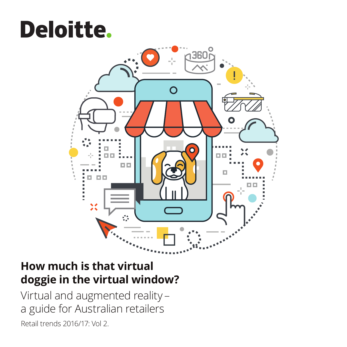## Deloitte.



### **How much is that virtual doggie in the virtual window?**

Virtual and augmented reality – a guide for Australian retailers Retail trends 2016/17: Vol 2.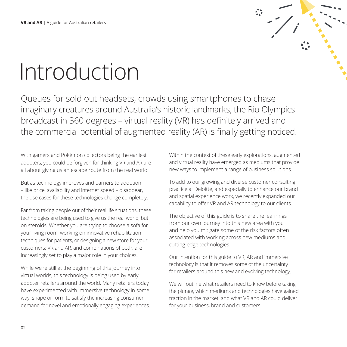# Introduction

Queues for sold out headsets, crowds using smartphones to chase imaginary creatures around Australia's historic landmarks, the Rio Olympics broadcast in 360 degrees – virtual reality (VR) has definitely arrived and the commercial potential of augmented reality (AR) is finally getting noticed.

With gamers and Pokémon collectors being the earliest adopters, you could be forgiven for thinking VR and AR are all about giving us an escape route from the real world.

But as technology improves and barriers to adoption – like price, availability and internet speed – disappear, the use cases for these technologies change completely.

Far from taking people out of their real life situations, these technologies are being used to give us the real world, but on steroids. Whether you are trying to choose a sofa for your living room, working on innovative rehabilitation techniques for patients, or designing a new store for your customers; VR and AR, and combinations of both, are increasingly set to play a major role in your choices.

While we're still at the beginning of this journey into virtual worlds, this technology is being used by early adopter retailers around the world. Many retailers today have experimented with immersive technology in some way, shape or form to satisfy the increasing consumer demand for novel and emotionally engaging experiences.

Within the context of these early explorations, augmented and virtual reality have emerged as mediums that provide new ways to implement a range of business solutions.

To add to our growing and diverse customer consulting practice at Deloitte, and especially to enhance our brand and spatial experience work, we recently expanded our capability to offer VR and AR technology to our clients.

The objective of this guide is to share the learnings from our own journey into this new area with you and help you mitigate some of the risk factors often associated with working across new mediums and cutting-edge technologies.

Our intention for this guide to VR, AR and immersive technology is that it removes some of the uncertainty for retailers around this new and evolving technology.

We will outline what retailers need to know before taking the plunge, which mediums and technologies have gained traction in the market, and what VR and AR could deliver for your business, brand and customers.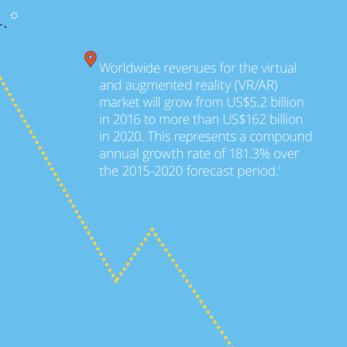Worldwide revenues for the virtual and augmented reality (VR/AR) market will grow from US\$5.2 billion in 2016 to more than US\$162 billion in 2020. This represents a compound annual growth rate of 181.3% over the 2015-2020 forecast period.<sup>1</sup>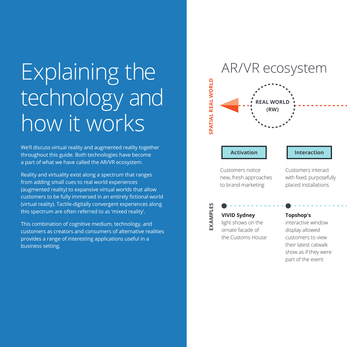## Explaining the technology and how it works

We'll discuss virtual reality and augmented reality together throughout this guide. Both technologies have become a part of what we have called the AR/VR ecosystem.

Reality and virtuality exist along a spectrum that ranges from adding small cues to real world experiences (augmented reality) to expansive virtual worlds that allow customers to be fully immersed in an entirely fictional world (virtual reality). Tactile-digitally convergent experiences along this spectrum are often referred to as 'mixed reality'.

This combination of cognitive medium, technology, and customers as creators and consumers of alternative realities provides a range of interesting applications useful in a business setting.

### AR/VR ecosystem



#### **Activation**

#### **Interaction**

Customers notice new, fresh approaches to brand marketing

Customers interact with fixed, purposefully placed installations

### **EXAMPLES EXAMPLES**

#### **VIVID Sydney**

light shows on the ornate facade of the Customs House

#### **Topshop's**

interactive window display allowed customers to view their latest catwalk show as if they were part of the event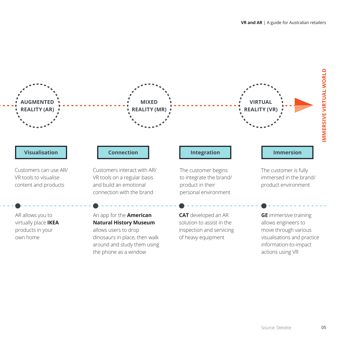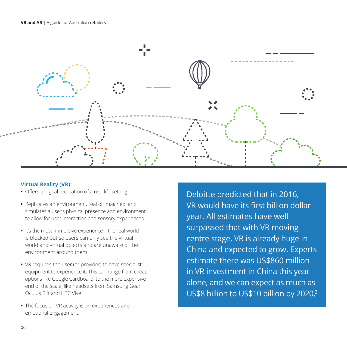

#### **Virtual Reality (VR):**

- **•** Offers a digital recreation of a real life setting
- **•** Replicates an environment, real or imagined, and simulates a user's physical presence and environment to allow for user interaction and sensory experiences
- **•** It's the most immersive experience the real world is blocked out so users can only see the virtual world and virtual objects and are unaware of the environment around them
- **•** VR requires the user (or provider) to have specialist equipment to experience it. This can range from cheap options like Google Cardboard, to the more expensive end of the scale, like headsets from Samsung Gear, Oculus Rift and HTC Vive
- **•** The focus on VR activity is on experiences and emotional engagement.

Deloitte predicted that in 2016, VR would have its first billion dollar year. All estimates have well surpassed that with VR moving centre stage. VR is already huge in China and expected to grow. Experts estimate there was US\$860 million in VR investment in China this year alone, and we can expect as much as US\$8 billion to US\$10 billion by 2020. 2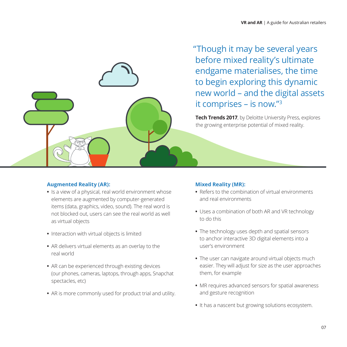"Though it may be several years before mixed reality's ultimate endgame materialises, the time to begin exploring this dynamic new world – and the digital assets it comprises – is now."3

**Tech Trends 2017**, by Deloitte University Press, explores the growing enterprise potential of mixed reality.

#### **Augmented Reality (AR):**

- **•** Is a view of a physical, real world environment whose elements are augmented by computer-generated items (data, graphics, video, sound). The real word is not blocked out, users can see the real world as well as virtual objects
- **•** Interaction with virtual objects is limited
- **•** AR delivers virtual elements as an overlay to the real world
- **•** AR can be experienced through existing devices (our phones, cameras, laptops, through apps, Snapchat spectacles, etc)
- **•** AR is more commonly used for product trial and utility.

#### **Mixed Reality (MR):**

- **•** Refers to the combination of virtual environments and real environments
- **•** Uses a combination of both AR and VR technology to do this
- **•** The technology uses depth and spatial sensors to anchor interactive 3D digital elements into a user's environment
- **•** The user can navigate around virtual objects much easier. They will adjust for size as the user approaches them, for example
- **•** MR requires advanced sensors for spatial awareness and gesture recognition
- **•** It has a nascent but growing solutions ecosystem.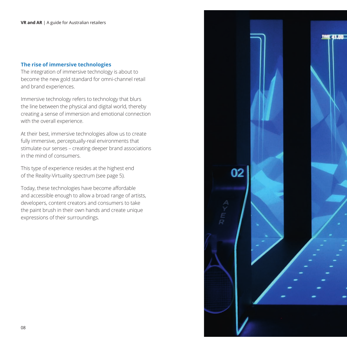#### **The rise of immersive technologies**

The integration of immersive technology is about to become the new gold standard for omni-channel retail and brand experiences.

Immersive technology refers to technology that blurs the line between the physical and digital world, thereby creating a sense of immersion and emotional connection with the overall experience.

At their best, immersive technologies allow us to create fully immersive, perceptually-real environments that stimulate our senses – creating deeper brand associations in the mind of consumers.

This type of experience resides at the highest end of the Reality-Virtuality spectrum (see page 5).

Today, these technologies have become affordable and accessible enough to allow a broad range of artists, developers, content creators and consumers to take the paint brush in their own hands and create unique expressions of their surroundings.

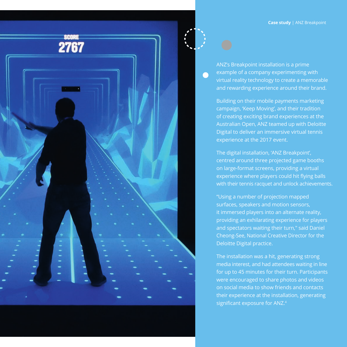

ANZ's Breakpoint installation is a prime example of a company experimenting with virtual reality technology to create a memorable and rewarding experience around their brand.

Building on their mobile payments marketing campaign, 'Keep Moving', and their tradition of creating exciting brand experiences at the Australian Open, ANZ teamed up with Deloitte Digital to deliver an immersive virtual tennis experience at the 2017 event.

The digital installation, 'ANZ Breakpoint', centred around three projected game booths on large-format screens, providing a virtual experience where players could hit flying balls with their tennis racquet and unlock achievements.

"Using a number of projection mapped surfaces, speakers and motion sensors, it immersed players into an alternate reality, providing an exhilarating experience for players and spectators waiting their turn," said Daniel Cheong-See, National Creative Director for the Deloitte Digital practice.

The installation was a hit, generating strong media interest, and had attendees waiting in line for up to 45 minutes for their turn. Participants were encouraged to share photos and videos on social media to show friends and contacts their experience at the installation, generating significant exposure for ANZ.4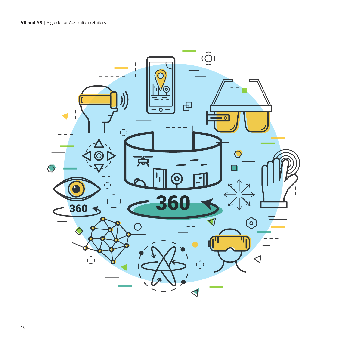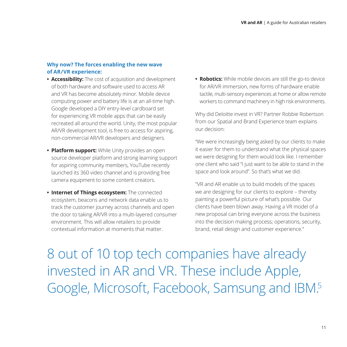#### **Why now? The forces enabling the new wave of AR/VR experience:**

- **• Accessibility:** The cost of acquisition and development of both hardware and software used to access AR and VR has become absolutely minor. Mobile device computing power and battery life is at an all-time high. Google developed a DIY entry-level cardboard set for experiencing VR mobile apps that can be easily recreated all around the world. Unity, the most popular AR/VR development tool, is free to access for aspiring, non-commercial AR/VR developers and designers.
- **• Platform support:** While Unity provides an open source developer platform and strong learning support for aspiring community members, YouTube recently launched its 360 video channel and is providing free camera equipment to some content creators.
- **• Internet of Things ecosystem:** The connected ecosystem, beacons and network data enable us to track the customer journey across channels and open the door to taking AR/VR into a multi-layered consumer environment. This will allow retailers to provide contextual information at moments that matter.

**• Robotics:** While mobile devices are still the go-to device for AR/VR immersion, new forms of hardware enable tactile, multi-sensory experiences at home or allow remote workers to command machinery in high risk environments.

Why did Deloitte invest in VR? Partner Robbie Robertson from our Spatial and Brand Experience team explains our decision:

"We were increasingly being asked by our clients to make it easier for them to understand what the physical spaces we were designing for them would look like. I remember one client who said "I just want to be able to stand in the space and look around". So that's what we did.

"VR and AR enable us to build models of the spaces we are designing for our clients to explore – thereby painting a powerful picture of what's possible. Our clients have been blown away. Having a VR model of a new proposal can bring everyone across the business into the decision making process; operations, security, brand, retail design and customer experience."

8 out of 10 top tech companies have already invested in AR and VR. These include Apple, Google, Microsoft, Facebook, Samsung and IBM.5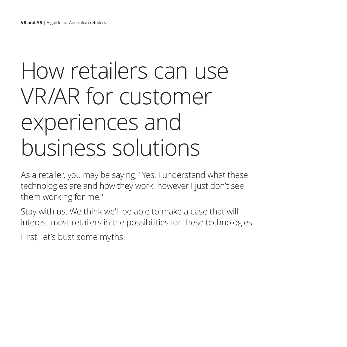## How retailers can use VR/AR for customer experiences and business solutions

As a retailer, you may be saying, "Yes, I understand what these technologies are and how they work, however I just don't see them working for me."

Stay with us. We think we'll be able to make a case that will interest most retailers in the possibilities for these technologies.

First, let's bust some myths.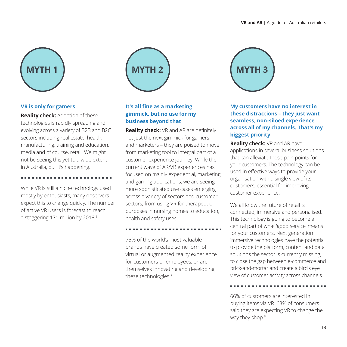

#### **VR is only for gamers**

**Reality check:** Adoption of these technologies is rapidly spreading and evolving across a variety of B2B and B2C sectors including real estate, health, manufacturing, training and education, media and of course, retail. We might not be seeing this yet to a wide extent in Australia, but it's happening.

While VR is still a niche technology used mostly by enthusiasts, many observers expect this to change quickly. The number of active VR users is forecast to reach a staggering 171 million by 2018.<sup>6</sup>



#### **It's all fine as a marketing gimmick, but no use for my business beyond that**

**Reality check:** VR and AR are definitely not just the next gimmick for gamers and marketers – they are poised to move from marketing tool to integral part of a customer experience journey. While the current wave of AR/VR experiences has focused on mainly experiential, marketing and gaming applications, we are seeing more sophisticated use cases emerging across a variety of sectors and customer sectors; from using VR for therapeutic purposes in nursing homes to education, health and safety uses.

75% of the world's most valuable brands have created some form of virtual or augmented reality experience for customers or employees, or are themselves innovating and developing these technologies.7



#### **My customers have no interest in these distractions – they just want seamless, non-siloed experience across all of my channels. That's my biggest priority**

**Reality check:** VR and AR have applications in several business solutions that can alleviate these pain points for your customers. The technology can be used in effective ways to provide your organisation with a single view of its customers, essential for improving customer experience.

We all know the future of retail is connected, immersive and personalised. This technology is going to become a central part of what 'good service' means for your customers. Next generation immersive technologies have the potential to provide the platform, content and data solutions the sector is currently missing, to close the gap between e-commerce and brick-and-mortar and create a bird's eye view of customer activity across channels.

66% of customers are interested in buying items via VR. 63% of consumers said they are expecting VR to change the way they shop.<sup>8</sup>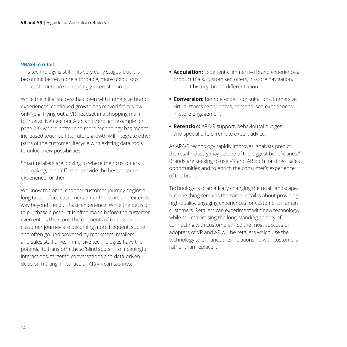#### **VR/AR in retail**

This technology is still in its very early stages, but it is becoming better, more affordable, more ubiquitous, and customers are increasingly interested in it.

While the initial success has been with immersive brand experiences, continued growth has moved from 'view only' (e.g. trying out a VR headset in a shopping mall) to 'interactive' (see our Audi and Zerolight example on page 23), where better and more technology has meant increased touchpoints. Future growth will integrate other parts of the customer lifecycle with existing data tools to unlock new possibilities.

Smart retailers are looking to where their customers are looking, in an effort to provide the best possible experience for them.

We know the omni-channel customer journey begins a long time before customers enter the store and extends way beyond the purchase experience. While the decision to purchase a product is often made before the customer even enters the store, the moments of truth within the customer journey are becoming more frequent, subtle and often go undiscovered by marketers, retailers and sales staff alike. Immersive technologies have the potential to transform these 'blind spots' into meaningful interactions, targeted conversations and data-driven decision making. In particular AR/VR can tap into:

- **• Acquisition:** Experiential immersive brand experiences, product trials, customised offers, in-store navigation, product history, brand differentiation
- **• Conversion:** Remote expert consultations, immersive virtual stores experiences, personalised experiences, in-store engagement
- **• Retention:** AR/VR support, behavioural nudges and special offers, remote expert advice.

As AR/VR technology rapidly improves, analysts predict the retail industry may be one of the biggest beneficiaries.<sup>9</sup> Brands are seeking to use VR and AR both for direct sales opportunities and to enrich the consumer's experience of the brand.

Technology is dramatically changing the retail landscape, but one thing remains the same: retail is about providing high-quality, engaging experiences for customers: Human customers. Retailers can experiment with new technology, while still maximising the long-standing priority of connecting with customers.10 So the most successful adopters of VR and AR will be retailers which use the technology to enhance their relationship with customers, rather than replace it.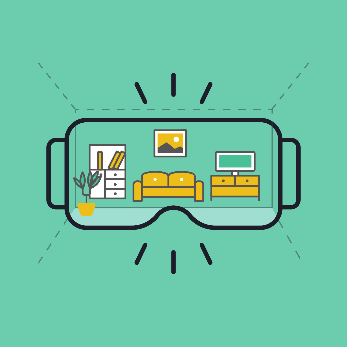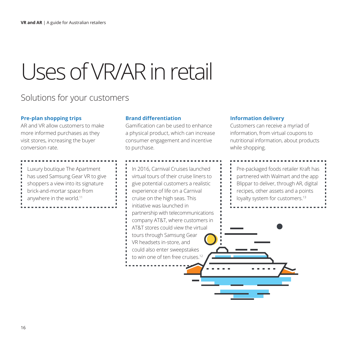## Uses of VR/AR in retail

### Solutions for your customers

#### **Pre-plan shopping trips**

AR and VR allow customers to make more informed purchases as they visit stores, increasing the buyer conversion rate.

Luxury boutique The Apartment has used Samsung Gear VR to give shoppers a view into its signature brick-and-mortar space from anywhere in the world.<sup>11</sup>

#### **Brand differentiation**

Gamification can be used to enhance a physical product, which can increase consumer engagement and incentive to purchase.

In 2016, Carnival Cruises launched virtual tours of their cruise liners to give potential customers a realistic experience of life on a Carnival cruise on the high seas. This initiative was launched in partnership with telecommunications company AT&T, where customers in AT&T stores could view the virtual tours through Samsung Gear VR headsets in-store, and could also enter sweepstakes to win one of ten free cruises.<sup>12</sup>

#### **Information delivery**

Customers can receive a myriad of information, from virtual coupons to nutritional information, about products while shopping.

Pre-packaged foods retailer Kraft has partnered with Walmart and the app Blippar to deliver, through AR, digital recipes, other assets and a points loyalty system for customers.<sup>13</sup>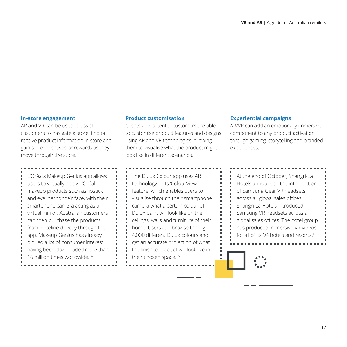#### **In-store engagement**

AR and VR can be used to assist customers to navigate a store, find or receive product information in-store and gain store incentives or rewards as they move through the store.

L'Oréal's Makeup Genius app allows users to virtually apply L'Oréal makeup products such as lipstick and eyeliner to their face, with their smartphone camera acting as a virtual mirror. Australian customers can then purchase the products from Priceline directly through the app. Makeup Genius has already piqued a lot of consumer interest, having been downloaded more than 16 million times worldwide<sup>14</sup>

#### **Product customisation**

Clients and potential customers are able to customise product features and designs using AR and VR technologies, allowing them to visualise what the product might look like in different scenarios.

The Dulux Colour app uses AR technology in its 'ColourView' feature, which enables users to visualise through their smartphone camera what a certain colour of Dulux paint will look like on the ceilings, walls and furniture of their home. Users can browse through 4,000 different Dulux colours and get an accurate projection of what the finished product will look like in their chosen space.<sup>15</sup>

#### **Experiential campaigns**

AR/VR can add an emotionally immersive component to any product activation through gaming, storytelling and branded experiences.

At the end of October, Shangri-La Hotels announced the introduction of Samsung Gear VR headsets across all global sales offices. Shangri-La Hotels introduced Samsung VR headsets across all global sales offices. The hotel group has produced immersive VR videos for all of its 94 hotels and resorts.16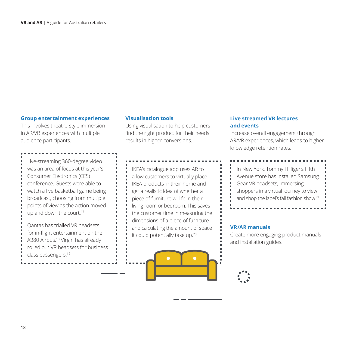#### **Group entertainment experiences**

This involves theatre-style immersion in AR/VR experiences with multiple audience participants.

#### **Visualisation tools**

Using visualisation to help customers find the right product for their needs results in higher conversions.

Live-streaming 360-degree video was an area of focus at this year's Consumer Electronics (CES) conference. Guests were able to watch a live basketball game being broadcast, choosing from multiple points of view as the action moved up and down the court.<sup>17</sup>

Qantas has trialled VR headsets for in-flight entertainment on the A380 Airbus.18 Virgin has already rolled out VR headsets for business class passengers.19

IKEA's catalogue app uses AR to allow customers to virtually place IKEA products in their home and get a realistic idea of whether a piece of furniture will fit in their living room or bedroom. This saves the customer time in measuring the dimensions of a piece of furniture and calculating the amount of space it could potentially take up.<sup>20</sup>

#### **Live streamed VR lectures and events**

Increase overall engagement through AR/VR experiences, which leads to higher knowledge retention rates.

In New York, Tommy Hilfiger's Fifth Avenue store has installed Samsung Gear VR headsets, immersing shoppers in a virtual journey to view and shop the label's fall fashion show.21

#### **VR/AR manuals**

Create more engaging product manuals and installation guides.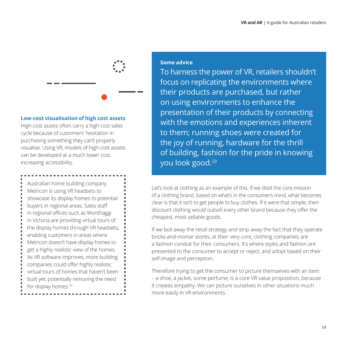

#### **Low-cost visualisation of high cost assets**

High-cost assets often carry a high cost sales cycle because of customers' hesitation in purchasing something they can't properly visualise. Using VR, models of high-cost assets can be developed at a much lower cost, increasing accessibility.

Australian home building company Metricon is using VR headsets to showcase its display homes to potential buyers in regional areas. Sales staff in regional offices such as Wonthaggi in Victoria are providing virtual tours of the display homes through VR headsets, enabling customers in areas where Metricon doesn't have display homes to get a highly realistic view of the homes. As VR software improves, more building companies could offer highly realistic virtual tours of homes that haven't been built yet, potentially removing the need for display homes.22

#### **Some advice**

To harness the power of VR, retailers shouldn't focus on replicating the environments where their products are purchased, but rather on using environments to enhance the presentation of their products by connecting with the emotions and experiences inherent to them; running shoes were created for the joy of running, hardware for the thrill of building, fashion for the pride in knowing you look good.23

Let's look at clothing as an example of this. If we distil the core mission of a clothing brand, based on what's in the consumer's mind, what becomes clear is that it isn't to get people to buy clothes. If it were that simple, then discount clothing would outsell every other brand because they offer the cheapest, most sellable goods.

If we boil away the retail strategy and strip away the fact that they operate bricks-and-mortar stores, at their very core, clothing companies are a fashion conduit for their consumers. It's where styles and fashion are presented to the consumer to accept or reject, and adopt based on their self-image and perception.

Therefore trying to get the consumer to picture themselves with an item – a shoe, a jacket, some perfume, is a core VR value proposition, because it creates empathy. We can picture ourselves in other situations much more easily in VR environments.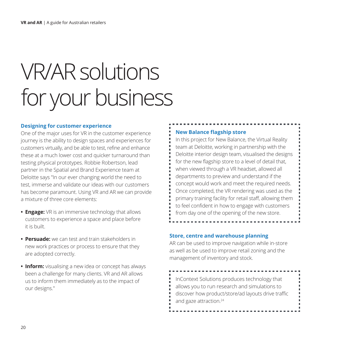# VR/AR solutions for your business

#### **Designing for customer experience**

One of the major uses for VR in the customer experience journey is the ability to design spaces and experiences for customers virtually, and be able to test, refine and enhance these at a much lower cost and quicker turnaround than testing physical prototypes. Robbie Robertson, lead partner in the Spatial and Brand Experience team at Deloitte says "In our ever changing world the need to test, immerse and validate our ideas with our customers has become paramount. Using VR and AR we can provide a mixture of three core elements:

- **• Engage:** VR is an immersive technology that allows customers to experience a space and place before it is built.
- **• Persuade:** we can test and train stakeholders in new work practices or process to ensure that they are adopted correctly.
- **• Inform:** visualising a new idea or concept has always been a challenge for many clients. VR and AR allows us to inform them immediately as to the impact of our designs."

#### **New Balance flagship store**

In this project for New Balance, the Virtual Reality team at Deloitte, working in partnership with the Deloitte interior design team, visualised the designs for the new flagship store to a level of detail that, when viewed through a VR headset, allowed all departments to preview and understand if the concept would work and meet the required needs. Once completed, the VR rendering was used as the primary training facility for retail staff, allowing them to feel confident in how to engage with customers from day one of the opening of the new store.

#### **Store, centre and warehouse planning**

AR can be used to improve navigation while in-store as well as be used to improve retail zoning and the management of inventory and stock.

InContext Solutions produces technology that allows you to run research and simulations to discover how product/store/ad layouts drive traffic and gaze attraction.<sup>24</sup>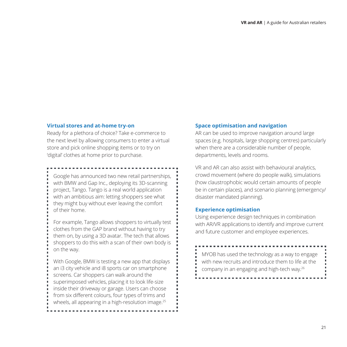#### **Virtual stores and at-home try-on**

Ready for a plethora of choice? Take e-commerce to the next level by allowing consumers to enter a virtual store and pick online shopping items or to try on 'digital' clothes at home prior to purchase.

Google has announced two new retail partnerships, with BMW and Gap Inc., deploying its 3D-scanning project, Tango. Tango is a real world application with an ambitious aim: letting shoppers see what they might buy without ever leaving the comfort of their home.

For example, Tango allows shoppers to virtually test clothes from the GAP brand without having to try them on, by using a 3D avatar. The tech that allows shoppers to do this with a scan of their own body is on the way.

With Google, BMW is testing a new app that displays an i3 city vehicle and i8 sports car on smartphone screens. Car shoppers can walk around the superimposed vehicles, placing it to look life-size inside their driveway or garage. Users can choose from six different colours, four types of trims and wheels, all appearing in a high-resolution image.<sup>25</sup>

#### **Space optimisation and navigation**

AR can be used to improve navigation around large spaces (e.g. hospitals, large shopping centres) particularly when there are a considerable number of people, departments, levels and rooms.

VR and AR can also assist with behavioural analytics, crowd movement (where do people walk), simulations (how claustrophobic would certain amounts of people be in certain places), and scenario planning (emergency/ disaster mandated planning).

#### **Experience optimisation**

Using experience design techniques in combination with AR/VR applications to identify and improve current and future customer and employee experiences.

MYOB has used the technology as a way to engage with new recruits and introduce them to life at the company in an engaging and high-tech way.26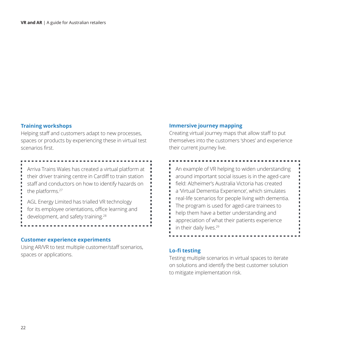#### **Training workshops**

Helping staff and customers adapt to new processes, spaces or products by experiencing these in virtual test scenarios first.

Arriva Trains Wales has created a virtual platform at their driver training centre in Cardiff to train station staff and conductors on how to identify hazards on the platforms.<sup>27</sup>

AGL Energy Limited has trialled VR technology for its employee orientations, office learning and development, and safety training.28

#### **Customer experience experiments**

Using AR/VR to test multiple customer/staff scenarios, spaces or applications.

#### **Immersive journey mapping**

Creating virtual journey maps that allow staff to put themselves into the customers 'shoes' and experience their current journey live.

An example of VR helping to widen understanding around important social issues is in the aged-care field: Alzheimer's Australia Victoria has created a 'Virtual Dementia Experience', which simulates real-life scenarios for people living with dementia. The program is used for aged-care trainees to help them have a better understanding and appreciation of what their patients experience in their daily lives.<sup>29</sup>

#### **Lo-fi testing**

Testing multiple scenarios in virtual spaces to iterate on solutions and identify the best customer solution to mitigate implementation risk.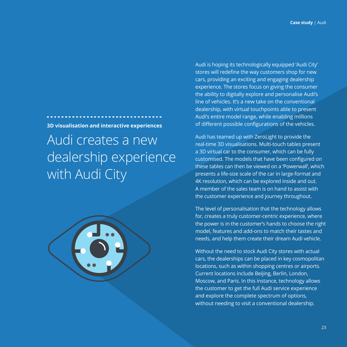### **3D visualisation and interactive experiences**

### Audi creates a new dealership experience with Audi City



Audi is hoping its technologically equipped 'Audi City' stores will redefine the way customers shop for new cars, providing an exciting and engaging dealership experience. The stores focus on giving the consumer the ability to digitally explore and personalise Audi's line of vehicles. It's a new take on the conventional dealership, with virtual touchpoints able to present Audi's entire model range, while enabling millions of different possible configurations of the vehicles.

Audi has teamed up with ZeroLight to provide the real-time 3D visualisations. Multi-touch tables present a 3D virtual car to the consumer, which can be fully customised. The models that have been configured on these tables can then be viewed on a 'Powerwall', which presents a life-size scale of the car in large-format and 4K resolution, which can be explored inside and out. A member of the sales team is on hand to assist with the customer experience and journey throughout.

The level of personalisation that the technology allows for, creates a truly customer-centric experience, where the power is in the customer's hands to choose the right model, features and add-ons to match their tastes and needs, and help them create their dream Audi vehicle.

Without the need to stock Audi City stores with actual cars, the dealerships can be placed in key cosmopolitan locations, such as within shopping centres or airports. Current locations include Beijing, Berlin, London, Moscow, and Paris. In this instance, technology allows the customer to get the full Audi service experience and explore the complete spectrum of options, without needing to visit a conventional dealership.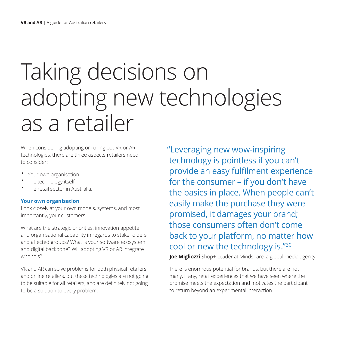## Taking decisions on adopting new technologies as a retailer

When considering adopting or rolling out VR or AR technologies, there are three aspects retailers need to consider:

- Your own organisation
- The technology itself
- The retail sector in Australia.

#### **Your own organisation**

Look closely at your own models, systems, and most importantly, your customers.

What are the strategic priorities, innovation appetite and organisational capability in regards to stakeholders and affected groups? What is your software ecosystem and digital backbone? Will adopting VR or AR integrate with this?

VR and AR can solve problems for both physical retailers and online retailers, but these technologies are not going to be suitable for all retailers, and are definitely not going to be a solution to every problem.

"Leveraging new wow-inspiring technology is pointless if you can't provide an easy fulfilment experience for the consumer – if you don't have the basics in place. When people can't easily make the purchase they were promised, it damages your brand; those consumers often don't come back to your platform, no matter how cool or new the technology is."30

**Joe Migliozzi** Shop+ Leader at Mindshare, a global media agency

There is enormous potential for brands, but there are not many, if any, retail experiences that we have seen where the promise meets the expectation and motivates the participant to return beyond an experimental interaction.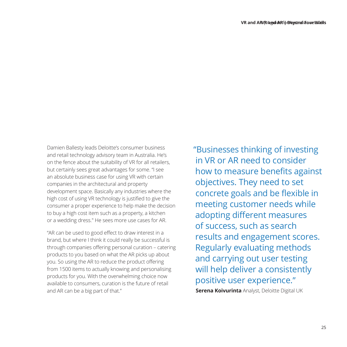Damien Ballesty leads Deloitte's consumer business and retail technology advisory team in Australia. He's on the fence about the suitability of VR for all retailers, but certainly sees great advantages for some. "I see an absolute business case for using VR with certain companies in the architectural and property development space. Basically any industries where the high cost of using VR technology is justified to give the consumer a proper experience to help make the decision to buy a high cost item such as a property, a kitchen or a wedding dress." He sees more use cases for AR.

"AR can be used to good effect to draw interest in a brand, but where I think it could really be successful is through companies offering personal curation – catering products to you based on what the AR picks up about you. So using the AR to reduce the product offering from 1500 items to actually knowing and personalising products for you. With the overwhelming choice now available to consumers, curation is the future of retail and AR can be a big part of that."

"Businesses thinking of investing in VR or AR need to consider how to measure benefits against objectives. They need to set concrete goals and be flexible in meeting customer needs while adopting different measures of success, such as search results and engagement scores. Regularly evaluating methods and carrying out user testing will help deliver a consistently positive user experience." **Serena Koivurinta** Analyst, Deloitte Digital UK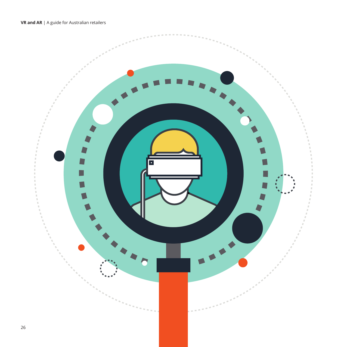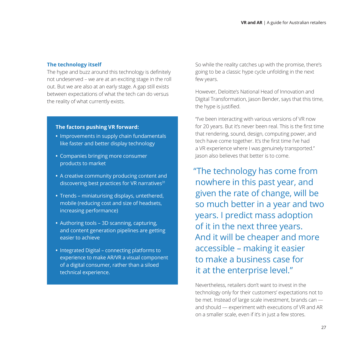#### **The technology itself**

The hype and buzz around this technology is definitely not undeserved – we are at an exciting stage in the roll out. But we are also at an early stage. A gap still exists between expectations of what the tech can do versus the reality of what currently exists.

#### **The factors pushing VR forward:**

- **•** Improvements in supply chain fundamentals like faster and better display technology
- **•** Companies bringing more consumer products to market
- **•** A creative community producing content and discovering best practices for VR narratives<sup>31</sup>
- **•** Trends miniaturising displays, untethered, mobile (reducing cost and size of headsets, increasing performance)
- **•** Authoring tools 3D scanning, capturing, and content generation pipelines are getting easier to achieve
- **•** Integrated Digital connecting platforms to experience to make AR/VR a visual component of a digital consumer, rather than a siloed technical experience.

So while the reality catches up with the promise, there's going to be a classic hype cycle unfolding in the next few years.

However, Deloitte's National Head of Innovation and Digital Transformation, Jason Bender, says that this time, the hype is justified.

"I've been interacting with various versions of VR now for 20 years. But it's never been real. This is the first time that rendering, sound, design, computing power, and tech have come together. It's the first time I've had a VR experience where I was genuinely transported." Jason also believes that better is to come.

"The technology has come from nowhere in this past year, and given the rate of change, will be so much better in a year and two years. I predict mass adoption of it in the next three years. And it will be cheaper and more accessible – making it easier to make a business case for it at the enterprise level."

Nevertheless, retailers don't want to invest in the technology only for their customers' expectations not to be met. Instead of large scale investment, brands can and should — experiment with executions of VR and AR on a smaller scale, even if it's in just a few stores.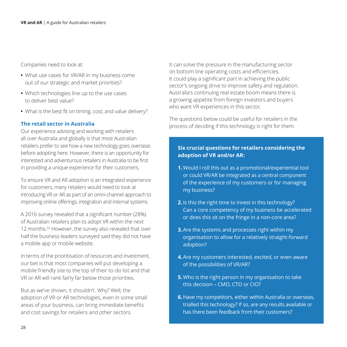Companies need to look at:

- **•** What use cases for VR/AR in my business come out of our strategic and market priorities?
- **•** Which technologies line up to the use cases to deliver best value?
- **•** What is the best fit on timing, cost, and value delivery?

#### **The retail sector in Australia**

Our experience advising and working with retailers all over Australia and globally is that most Australian retailers prefer to see how a new technology goes overseas before adopting here. However, there is an opportunity for interested and adventurous retailers in Australia to be first in providing a unique experience for their customers.

To ensure VR and AR adoption is an integrated experience for customers, many retailers would need to look at introducing VR or AR as part of an omni-channel approach to improving online offerings, integration and internal systems.

A 2016 survey revealed that a significant number (28%) of Australian retailers plan to adopt VR within the next 12 months.<sup>32</sup> However, the survey also revealed that over half the business leaders surveyed said they did not have a mobile app or mobile website.

In terms of the prioritisation of resources and investment, our bet is that most companies will put developing a mobile friendly site to the top of their to-do list and that VR or AR will rank fairly far below those priorities.

But as we've shown, it shouldn't. Why? Well, the adoption of VR or AR technologies, even in some small areas of your business, can bring immediate benefits and cost savings for retailers and other sectors.

It can solve the pressure in the manufacturing sector on bottom line operating costs and efficiencies. It could play a significant part in achieving the public sector's ongoing drive to improve safety and regulation. Australia's continuing real estate boom means there is a growing appetite from foreign investors and buyers who want VR experiences in this sector.

The questions below could be useful for retailers in the process of deciding if this technology is right for them.

#### **Six crucial questions for retailers considering the adoption of VR and/or AR:**

- **1.** Would I roll this out as a promotional/experiential tool or could VR/AR be integrated as a central component of the experience of my customers or for managing my business?
- **2.** Is this the right time to invest in this technology? Can a core competency of my business be accelerated or does this sit on the fringe in a non-core area?
- **3.**Are the systems and processes right within my organisation to allow for a relatively straight-forward adoption?
- **4.**Are my customers interested, excited, or even aware of the possibilities of VR/AR?
- **5.**Who is the right person in my organisation to take this decision – CMO, CTO or CIO?
- **6.** Have my competitors, either within Australia or overseas, trialled this technology? If so, are any results available or has there been feedback from their customers?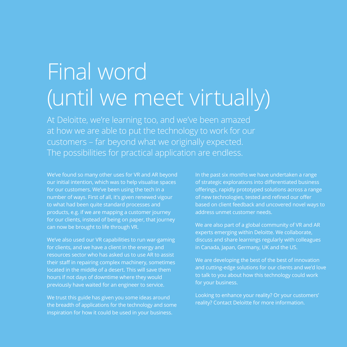### Final word (until we meet virtually)

At Deloitte, we're learning too, and we've been amazed at how we are able to put the technology to work for our customers – far beyond what we originally expected. The possibilities for practical application are endless.

We've found so many other uses for VR and AR beyond our initial intention, which was to help visualise spaces for our customers. We've been using the tech in a number of ways. First of all, it's given renewed vigour to what had been quite standard processes and products, e.g. if we are mapping a customer journey for our clients, instead of being on paper, that journey can now be brought to life through VR.

We've also used our VR capabilities to run war-gaming for clients, and we have a client in the energy and resources sector who has asked us to use AR to assist their staff in repairing complex machinery, sometimes located in the middle of a desert. This will save them hours if not days of downtime where they would previously have waited for an engineer to service.

We trust this guide has given you some ideas around the breadth of applications for the technology and some inspiration for how it could be used in your business.

In the past six months we have undertaken a range of strategic explorations into differentiated business offerings, rapidly prototyped solutions across a range of new technologies, tested and refined our offer based on client feedback and uncovered novel ways to address unmet customer needs.

We are also part of a global community of VR and AR experts emerging within Deloitte. We collaborate, discuss and share learnings regularly with colleagues in Canada, Japan, Germany, UK and the US.

We are developing the best of the best of innovation and cutting-edge solutions for our clients and we'd love to talk to you about how this technology could work for your business.

Looking to enhance your reality? Or your customers' reality? Contact Deloitte for more information.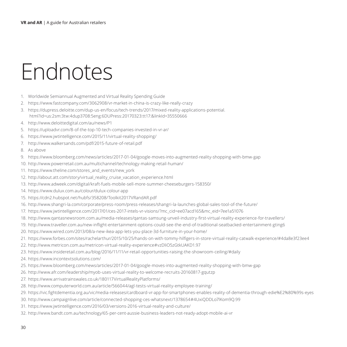### Endnotes

- 1. Worldwide Semiannual Augmented and Virtual Reality Spending Guide
- 2. https://www.fastcompany.com/3062908/vr-market-in-china-is-crazy-like-really-crazy
- 3. https://dupress.deloitte.com/dup-us-en/focus/tech-trends/2017/mixed-reality-applications-potential. html?id=us:2sm:3tw:4dup3708:5eng:6DUPress:20170323:tt17:&linkId=35550666
- 4. http://www.deloittedigital.com/au/news/P1
- 5. https://uploadvr.com/8-of-the-top-10-tech-companies-invested-in-vr-ar/
- 6. https://www.jwtintelligence.com/2015/11/virtual-reality-shopping/
- 7. http://www.walkersands.com/pdf/2015-future-of-retail.pdf
- 8. As above
- 9. https://www.bloomberg.com/news/articles/2017-01-04/google-moves-into-augmented-reality-shopping-with-bmw-gap
- 10. http://www.powerretail.com.au/multichannel/technology-making-retail-human/
- 11. https://www.theline.com/stores\_and\_events/new\_york
- 12. http://about.att.com/story/virtual\_reality\_cruise\_vacation\_experience.html
- 13. http://www.adweek.com/digital/kraft-fuels-mobile-sell-more-summer-cheeseburgers-158350/
- 14. https://www.dulux.com.au/colour/dulux-colour-app
- 15. https://cdn2.hubspot.net/hubfs/358208/Toolkit2017VRandAR.pdf
- 16. http://www.shangri-la.com/corporate/press-room/press-releases/shangri-la-launches-global-sales-tool-of-the-future/
- 17. https://www.jwtintelligence.com/2017/01/ces-2017-intels-vr-visions/?mc\_cid=ee07acd165&mc\_eid=7ee1a51076
- 18. http://www.qantasnewsroom.com.au/media-releases/qantas-samsung-unveil-industry-first-virtual-reality-experience-for-travellers/
- 19. http://www.traveller.com.au/new-inflight-entertainment-options-could-see-the-end-of-traditional-seatbacked-entertainment-gting6
- 20. https://www.wired.com/2013/08/a-new-ikea-app-lets-you-place-3d-furniture-in-your-home/
- 21. https://www.forbes.com/sites/rachelarthur/2015/10/25/hands-on-with-tommy-hilfigers-in-store-virtual-reality-catwalk-experience/#4da8e3f23ee4
- 22. http://www.metricon.com.au/metricon-virtual-reality-experience#vzDliO5zGtkUAKD1.97
- 23. https://www.insideretail.com.au/blog/2016/11/11/vr-retail-opportunities-raising-the-showroom-ceiling/#daily
- 24. https://www.incontextsolutions.com/
- 25. https://www.bloomberg.com/news/articles/2017-01-04/google-moves-into-augmented-reality-shopping-with-bmw-gap
- 26. http://www.afr.com/leadership/myob-uses-virtual-reality-to-welcome-recruits-20160817-gqutzp
- 27. https://www.arrivatrainswales.co.uk/180117VirtualRealityPlatforms/
- 28. http://www.computerworld.com.au/article/566044/agl-tests-virtual-reality-employee-training/
- 29. https://vic.fightdementia.org.au/vic/media-releases/cardboard-vr-app-for-smartphones-enables-reality-of-dementia-through-edie%E2%80%99s-eyes
- 30. http://www.campaignlive.com/article/connected-shopping-ces-whatsnext/1378654#4UxiQDDLo7lKom9Q.99
- 31. https://www.jwtintelligence.com/2016/03/versions-2016-virtual-reality-and-culture/
- 32. http://www.bandt.com.au/technology/65-per-cent-aussie-business-leaders-not-ready-adopt-mobile-ai-vr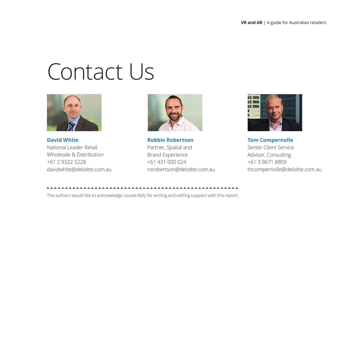## Contact Us



**David White** National Leader Retail, Wholesale & Distribution +61 2 9322 5228 davidwhite@deloitte.com.au



**Robbie Robertson** Partner, Spatial and Brand Experience +61 431 000 024 rorobertson@deloitte.com.au



**Tom Compernolle** Senior Client Service Advisor, Consulting +61 3 9671 8809 thcompernolle@deloitte.com.au

The authors would like to acknowledge Louise Kelly for writing and editing support with this report.